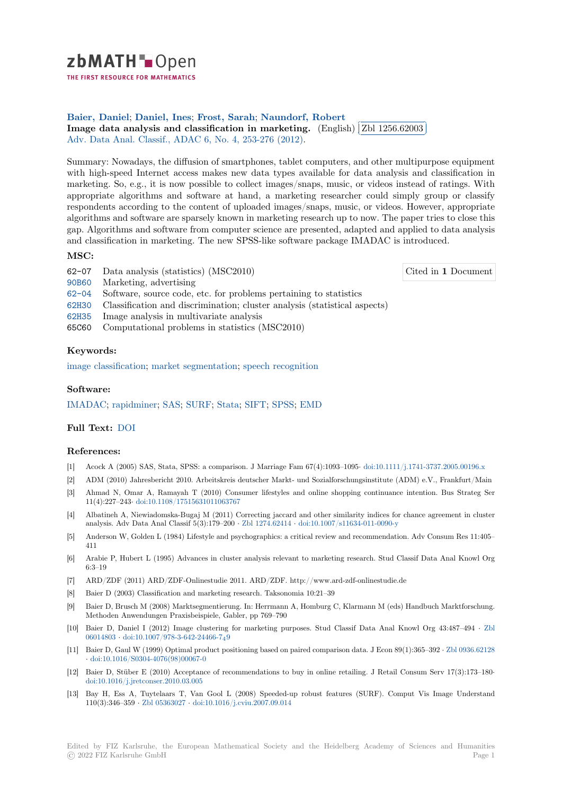

THE FIRST RESOURCE FOR MATHEMATICS

# **Baier, Daniel**; **Daniel, Ines**; **Frost, Sarah**; **Naundorf, Robert**

Dater, Damer, Damer, Thes, Frost, Saran, Naundorf, Robert<br>[I](https://zbmath.org/)mage data analysis and classification in marketing. (English) ✂ Zbl 1256.62003 Ĭ. ✁ Adv. Data Anal. Classif., ADAC 6, No. 4, 253-276 (2012).

[Summary: Now](https://zbmath.org/authors/?q=ai:baier.daniel)a[days, the diffu](https://zbmath.org/authors/?q=ai:daniel.ines)s[ion of smartph](https://zbmath.org/authors/?q=ai:frost.sarah)o[nes, tablet computers](https://zbmath.org/authors/?q=ai:naundorf.robert), and other multipurpose equipment [with high-speed Internet access makes new data types ava](https://zbmath.org/1256.62003)ilable for [data analysis and](https://zbmath.org/1256.62003) classification in [marketing. So, e.g., it is now pos](https://zbmath.org/journals/?q=se:4917)[sible to collect images/sn](https://zbmath.org/?q=in:312037)aps, music, or videos instead of ratings. With appropriate algorithms and software at hand, a marketing researcher could simply group or classify respondents according to the content of uploaded images/snaps, music, or videos. However, appropriate algorithms and software are sparsely known in marketing research up to now. The paper tries to close this gap. Algorithms and software from computer science are presented, adapted and applied to data analysis and classification in marketing. The new SPSS-like software package IMADAC is introduced.

# **MSC:**

- 62-07 Data analysis (statistics) (MSC2010)
- 90B60 Marketing, advertising
- 62-04 Software, source code, etc. for problems pertaining to statistics
- 62H30 Classification and discrimination; cluster analysis (statistical aspects)
- 62H35 Image analysis in multivariate analysis
- [65C60](https://zbmath.org/classification/?q=cc:90B60) Computational problems in statistics (MSC2010)

### **[Keyw](https://zbmath.org/classification/?q=cc:62H30)ords:**

[image](https://zbmath.org/classification/?q=cc:62H35) classification; market segmentation; speech recognition

## **Software:**

[IMADAC;](https://zbmath.org/?q=ut:image+classification) rapidminer; SAS; [SURF;](https://zbmath.org/?q=ut:market+segmentation) Stata; SIFT; [SPSS;](https://zbmath.org/?q=ut:speech+recognition) EMD

# **Full Text:** DOI

### **[Referenc](https://swmath.org/software/9310)[es:](https://swmath.org/software/11031)**

- [1] Acock A (2005) SAS, Stata, SPSS: a comparison. J Marriage Fam 67(4):1093–1095*·* doi:10.1111/j.1741-3737.2005.00196.x
- [2] ADM (20[10\) Ja](https://dx.doi.org/10.1007/s11634-012-0116-0)hresbericht 2010. Arbeitskreis deutscher Markt- und Sozialforschungsinstitute (ADM) e.V., Frankfurt/Main
- [3] Ahmad N, Omar A, Ramayah T (2010) Consumer lifestyles and online shopping continuance intention. Bus Strateg Ser 11(4):227–243*·* doi:10.1108/17515631011063767
- [4] Albatineh A, Niewiadomska-Bugaj M (2011) Correcting jaccard and other similarit[y indices for chance agreement in clus](https://dx.doi.org/10.1111/j.1741-3737.2005.00196.x)ter analysis. Adv Data Anal Classif 5(3):179–200 *·* Zbl 1274.62414 *·* doi:10.1007/s11634-011-0090-y
- [5] Anderson W, Golden L (1984) Lifestyle and psychographics: a critical review and recommendation. Adv Consum Res 11:405– 411
- [6] Arabie P, Hubert L (1995) Advances in cluster analysis relevant to marketing research. Stud Classif Data Anal Knowl Org 6:3–19
- [7] ARD/ZDF (2011) ARD/ZDF-Onlinestudie 2011. ARD/ZDF. http://www.ard-zdf-onlinestudie.de
- [8] Baier D (2003) Classification and marketing research. Taksonomia 10:21–39
- [9] Baier D, Brusch M (2008) Marktsegmentierung. In: Herrmann A, Homburg C, Klarmann M (eds) Handbuch Marktforschung. Methoden Anwendungen Praxisbeispiele, Gabler, pp 769–790
- [10] Baier D, Daniel I (2012) Image clustering for marketing purposes. Stud Classif Data Anal Knowl Org 43:487–494 *·* Zbl 06014803 *·* doi:10.1007/978-3-642-24466-749
- [11] Baier D, Gaul W (1999) Optimal product positioning based on paired comparison data. J Econ 89(1):365–392 *·* Zbl 0936.62128 *·* doi:10.1016/S0304-4076(98)00067-0
- [12] Baier D, Stüber E (2010) Acceptance of recommendations to buy in online retailing. J Retail Consum Serv 17(3):173–[180](https://zbmath.org/06014803)*·* [doi:10.101](https://zbmath.org/06014803)6[/j.jretconser.2010.03.005](https://dx.doi.org/10.1007/978-3-642-24466-7_49)
- [13] Bay H, Ess A, Tuytelaars T, Van Gool L (2008) Speeded-up robust features (SURF). Comput Vis Ima[ge Understand](https://zbmath.org/0936.62128) 1[10\(3\):346–359](https://dx.doi.org/10.1016/S0304-4076(98)00067-0) *·* Zbl 05363027 *·* doi:10.1016/j.cviu.2007.09.014

Cited in **1** Document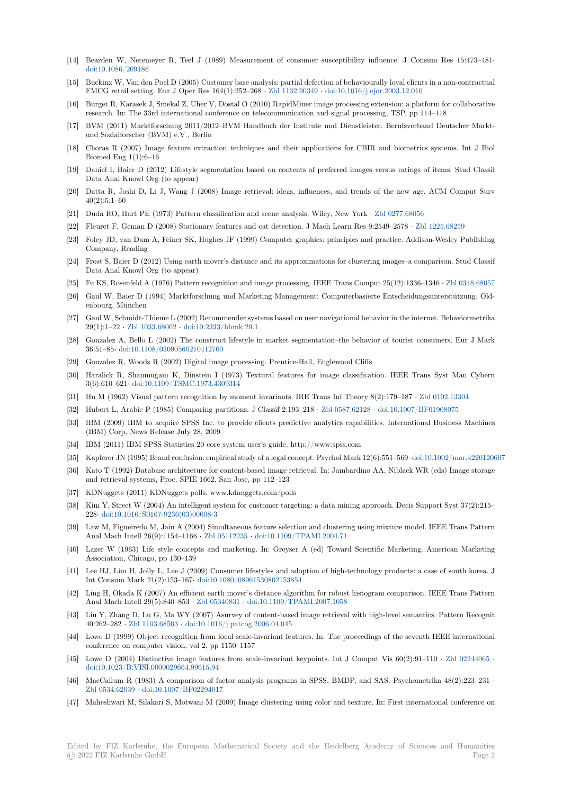- [14] Bearden W, Netemeyer R, Teel J (1989) Measurement of consumer susceptibility influence. J Consum Res 15:473–481*·* doi:10.1086/209186
- [15] Buckinx W, Van den Poel D (2005) Customer base analysis: partial defection of behaviourally loyal clients in a non-contractual FMCG retail setting. Eur J Oper Res 164(1):252–268 *·* Zbl 1132.90349 *·* doi:10.1016/j.ejor.2003.12.010
- [16] Burget R, Karasek J, Smekal Z, Uher V, Dostal O (2010) RapidMiner image processing extension: a platform for collaborative [research. In: The 33](https://dx.doi.org/10.1086/209186)rd international conference on telecommunication and signal processing, TSP, pp 114–118
- [17] BVM (2011) Marktforschung 2011/2012–BVM Handbuch der Institute und Dienstleister. Berufsverband Deutscher Marktund Sozialforscher (BVM) e.V., Berlin
- [18] Choras R (2007) Image feature extraction techniques and their applications for CBIR and biometrics systems. Int J Biol Biomed Eng 1(1):6–16
- [19] Daniel I, Baier D (2012) Lifestyle segmentation based on contents of preferred images versus ratings of items. Stud Classif Data Anal Knowl Org (to appear)
- [20] Datta R, Joshi D, Li J, Wang J (2008) Image retrieval: ideas, influences, and trends of the new age. ACM Comput Surv  $40(2):5:1-60$
- [21] Duda RO, Hart PE (1973) Pattern classification and scene analysis. Wiley, New York *·* Zbl 0277.68056
- [22] Fleuret F, Geman D (2008) Stationary features and cat detection. J Mach Learn Res 9:2549–2578 *·* Zbl 1225.68259
- [23] Foley JD, van Dam A, Feiner SK, Hughes JF (1999) Computer graphics: principles and practice. Addison-Wesley Publishing Company, Reading
- [24] Frost S, Baier D (2012) Using earth mover's distance and its approximations for clusteri[ng images–a com](https://zbmath.org/0277.68056)parison. Stud Classif Data Anal Knowl Org (to appear)
- [25] Fu KS, Rosenfeld A (1976) Pattern recognition and image processing. IEEE Trans Comput 25(12):1336–1346 *·* Zbl 0348.68057
- [26] Gaul W, Baier D (1994) Marktforschung und Marketing Management: Computerbasierte Entscheidungsunterstützung. Oldenbourg, München
- [27] Gaul W, Schmidt-Thieme L (2002) Recommender systems based on user navigational behavior in the internet. Behaviormetrika 29(1):1–22 *·* Zbl 1033.68002 *·* doi:10.2333/bhmk.29.1
- [28] Gonzalez A, Bello L (2002) The construct lifestyle in market segmentation–the behavior of tourist consumers. Eur J Mark 36:51–85*·* doi:10.1108/03090560210412700
- [29] Gonzalez R, Woods R (2002) Digital image processing. Prentice-Hall, Englewood Cliffs
- [30] Haralick R, [Shanmugam K](https://zbmath.org/1033.68002), [Dinstein I \(1973\) Text](https://dx.doi.org/10.2333/bhmk.29.1)ural features for image classification. IEEE Trans Syst Man Cybern 3(6):610–621*·* doi:10.1109/TSMC.1973.4309314
- [31] Hu M (19[62\) Visual pattern recognition by](https://dx.doi.org/10.1108/03090560210412700) moment invariants. IRE Trans Inf Theory 8(2):179–187 *·* Zbl 0102.13304
- [32] Hubert L, Arabie P (1985) Comparing partitions. J Classif 2:193–218 *·* Zbl 0587.62128 *·* doi:10.1007/BF01908075
- [33] IBM (2009) IBM to acquire SPSS Inc. to provide clients predictive analytics capabilities. International Business Machines (IBM) Corp, [News Release July 28, 2009](https://dx.doi.org/10.1109/TSMC.1973.4309314)
- [34] IBM (2011) IBM SPSS Statistics 20 core system user's guide. http://www.spss.com
- [35] Kapferer JN (1995) Brand confusion: empirical study of a legal concept.P[sychol Mark 12\(](https://zbmath.org/0587.62128)6):551–569*·* [doi:10.1002/m](https://dx.doi.org/10.1007/BF01908075)ar.4220120607
- [36] Kato T (1992) Database architecture for content-based image retrieval. In: Jambardino AA, Niblack WR (eds) Image storage and retrieval systems, Proc. SPIE 1662, San Jose, pp 112–123
- [37] KDNuggets (2011) KDNuggets polls. www.kdnuggets.com/polls
- [38] Kim Y, Street W (2004) An intelligent system for customer targeting: a data mining approach. Deci[s Support Syst 37\(2\):215–](https://dx.doi.org/10.1002/mar.4220120607) 228*·* doi:10.1016/S0167-9236(03)00008-3
- [39] Law M, Figueiredo M, Jain A (2004) Simultaneous feature selection and clustering using mixture model. IEEE Trans Pattern Anal Mach Intell 26(9):1154–1166 *·* Zbl 05112235 *·* doi:10.1109/TPAMI.2004.71
- [40] Lazer W (1963) Life style concepts and marketing. In: Greyser A (ed) Toward Scientific Marketing. American Marketing Asso[ciation, Chicago, pp 130–139](https://dx.doi.org/10.1016/S0167-9236(03)00008-3)
- [41] Lee HJ, Lim H, Jolly L, Lee J (2009) Consumer lifestyles and adoption of high-technology products: a case of south korea. J Int Consum Mark 21(2):153–167*·* d[oi:10.1080/089](https://zbmath.org/05112235)6[1530802153854](https://dx.doi.org/10.1109/TPAMI.2004.71)
- [42] Ling H, Okada K (2007) An efficient earth mover's distance algorithm for robust histogram comparison. IEEE Trans Pattern Anal Mach Intell 29(5):840–853 *·* Zbl 05340831 *·* doi:10.1109/TPAMI.2007.1058
- [43] Liu Y, Zhang D, Lu G, Ma WY (2007) Asurvey of content-based image retrieval with high-level semantics. Pattern Recognit 40:262–282 *·* Zbl 1103.68503 *·* doi[:10.1016/j.patcog.2006.04.045](https://dx.doi.org/10.1080/08961530802153854)
- [44] Lowe D (1999) Object recognition from local scale-invariant features. In: The proceedings of the seventh IEEE international conference on computer vision, v[ol 2, pp 1150–](https://zbmath.org/05340831)1[157](https://dx.doi.org/10.1109/TPAMI.2007.1058)
- [45] Lowe D (2004) Distinctive image features from scale-invariant keypoints. Int J Comput Vis 60(2):91–110 *·* Zbl 02244065 *·* doi:10.1023/[B:VISI.00000296](https://zbmath.org/1103.68503)6[4.99615.94](https://dx.doi.org/10.1016/j.patcog.2006.04.045)
- [46] MacCallum R (1983) A comparison of factor analysis programs in SPSS, BMDP, and SAS. Psychometrika 48(2):223–231 *·* Zbl 0534.62039 *·* doi:10.1007/BF02294017
- [47] Maheshwari M, Silakari S, Motwani M (2009) Image clustering using color and texture. In: First internation[al conference o](https://zbmath.org/02244065)n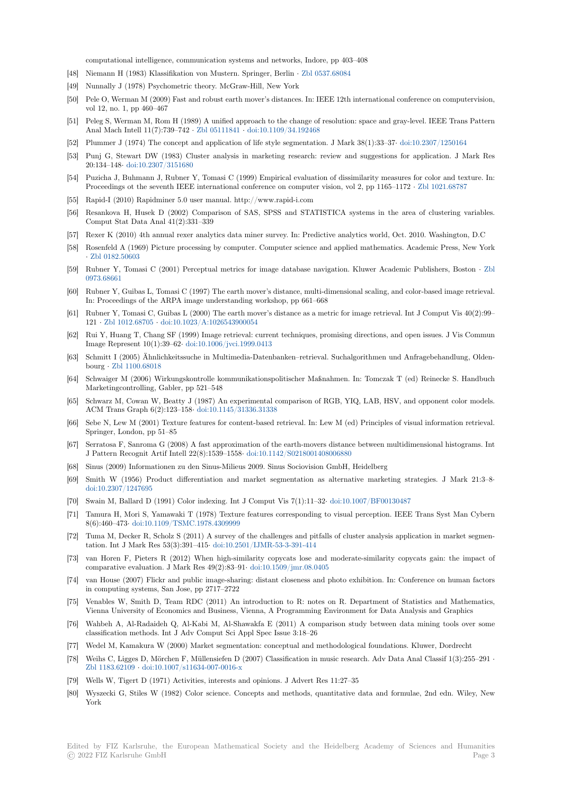computational intelligence, communication systems and networks, Indore, pp 403–408

- [48] Niemann H (1983) Klassifikation von Mustern. Springer, Berlin *·* Zbl 0537.68084
- [49] Nunnally J (1978) Psychometric theory. McGraw-Hill, New York
- [50] Pele O, Werman M (2009) Fast and robust earth mover's distances. In: IEEE 12th international conference on computervision, vol 12, no. 1, pp 460–467
- [51] Peleg S, Werman M, Rom H (1989) A unified approach to the cha[nge of resolution](https://zbmath.org/0537.68084): space and gray-level. IEEE Trans Pattern Anal Mach Intell 11(7):739–742 *·* Zbl 05111841 *·* doi:10.1109/34.192468
- [52] Plummer J (1974) The concept and application of life style segmentation. J Mark 38(1):33–37*·* doi:10.2307/1250164
- [53] Punj G, Stewart DW (1983) Cluster analysis in marketing research: review and suggestions for application. J Mark Res 20:134–148*·* doi:10.2307/3151680
- [54] Puzicha J, Buhmann J, Rubner [Y, Tomasi C \(1](https://zbmath.org/05111841)9[99\) Empirical evaluatio](https://dx.doi.org/10.1109/34.192468)n of dissimilarity measures for color and texture. In: Proceedings ot the seventh IEEE international conference on computer vision, vol 2, pp 1165–1172 *·* [Zbl 1021.68787](https://dx.doi.org/10.2307/1250164)
- [55] Rapid-I (2010) Rapidminer 5.0 user manual. http://www.rapid-i.com
- [56] Resankova [H, Husek D \(2002\) C](https://dx.doi.org/10.2307/3151680)omparison of SAS, SPSS and STATISTICA systems in the area of clustering variables. Comput Stat Data Anal 41(2):331–339
- [57] Rexer K (2010) 4th annual rexer analytics data miner survey. In: Predictive analytics world, Oct. 20[10. Washington](https://zbmath.org/1021.68787), D.C
- [58] Rosenfeld A (1969) Picture processing by computer. Computer science and applied mathematics. Academic Press, New York *·* Zbl 0182.50603
- [59] Rubner Y, Tomasi C (2001) Perceptual metrics for image database navigation. Kluwer Academic Publishers, Boston *·* Zbl 0973.68661
- [60] Rubner Y, Guibas L, Tomasi C (1997) The earth mover's distance, multi-dimensional scaling, and color-based image retrieval. I[n: Proceedings o](https://zbmath.org/0182.50603)f the ARPA image understanding workshop, pp 661–668
- [61] Rubner Y, Tomasi C, Guibas L (2000) The earth mover's distance as a metric for image retrieval. Int J Comput Vis 40(2):[99–](https://zbmath.org/0973.68661) 121 *·* [Zbl 10](https://zbmath.org/0973.68661)12.68705 *·* doi:10.1023/A:1026543900054
- [62] Rui Y, Huang T, Chang SF (1999) Image retrieval: current techniques, promising directions, and open issues. J Vis Commun Image Represent 10(1):39–62*·* doi:10.1006/jvci.1999.0413
- [63] Schmitt I (2005) Ähnlichkeitssuche in Multimedia-Datenbanken–retrieval. Suchalgorithmen und Anfragebehandlung, Oldenbourg *·* [Zbl 1100.6801](https://zbmath.org/1012.68705)[8](https://dx.doi.org/10.1023/A:1026543900054)
- [64] Schwaiger M (2006) Wirkungskontrolle kommunikationspolitischer Maßnahmen. In: Tomczak T (ed) Reinecke S. Handbuch Marketingcontrolling, Gabler, [pp 521–548](https://dx.doi.org/10.1006/jvci.1999.0413)
- [65] Schwarz M, Cowan W, Beatty J (1987) An experimental comparison of RGB, YIQ, LAB, HSV, and opponent color models. ACM T[rans Graph 6\(2\)](https://zbmath.org/1100.68018):123–158*·* doi:10.1145/31336.31338
- [66] Sebe N, Lew M (2001) Texture features for content-based retrieval. In: Lew M (ed) Principles of visual information retrieval. Springer, London, pp 51–85
- [67] Serratosa F, Sanroma G (2008) A fast approximation of the earth-movers distance between multidimensional histograms. Int J Pattern Recognit Artif Intell 22[\(8\):1539–1558](https://dx.doi.org/10.1145/31336.31338)*·* doi:10.1142/S0218001408006880
- [68] Sinus (2009) Informationen zu den Sinus-Milieus 2009. Sinus Sociovision GmbH, Heidelberg
- [69] Smith W (1956) Product differentiation and market segmentation as alternative marketing strategies. J Mark 21:3–8*·* doi:10.2307/1247695
- [70] Swain M, Ballard D (1991) Color indexing. IntJ [Comput Vis 7\(1\):11–32](https://dx.doi.org/10.1142/S0218001408006880)*·* doi:10.1007/BF00130487
- [71] Tamura H, Mori S, Yamawaki T (1978) Texture features corresponding to visual perception. IEEE Trans Syst Man Cybern 8(6):460–473*·* doi:10.1109/TSMC.1978.4309999
- [72] [Tuma M, Decker R,](https://dx.doi.org/10.2307/1247695) Scholz S (2011) A survey of the challenges and pitfalls of cluster analysis application in market segmentation. Int J Mark Res 53(3):391–415*·* doi:10.2501/IJMR-53-3-391-414
- [73] van Horen F, Pieters R (2012) When high-similarity copycats lose and moderate-similarity copycats gain: the impact of comparativee[valuation. J Mark Res 49\(2\):83–9](https://dx.doi.org/10.1109/TSMC.1978.4309999)1*·* doi:10.1509/jmr.08.0405
- [74] van House (2007) Flickr and public image-sharing: distant closeness and photo exhibition. In: Conference on human factors in computing systems, San Jose, pp 27[17–2722](https://dx.doi.org/10.2501/IJMR-53-3-391-414)
- [75] Venables W, Smith D, Team RDC (2011) An introduction to R: notes on R. Department of Statistics and Mathematics, Vienna University of Economics and Business, Vi[enna, A Programming En](https://dx.doi.org/10.1509/jmr.08.0405)vironment for Data Analysis and Graphics
- [76] Wahbeh A, Al-Radaideh Q, Al-Kabi M, Al-Shawakfa E (2011) A comparison study between data mining tools over some classification methods. Int J Adv Comput Sci Appl Spec Issue 3:18–26
- [77] Wedel M, Kamakura W (2000) Market segmentation: conceptual and methodological foundations. Kluwer, Dordrecht
- [78] Weihs C, Ligges D, Mörchen F, Müllensiefen D (2007) Classification in music research. Adv Data Anal Classif 1(3):255–291 *·* Zbl 1183.62109 *·* doi:10.1007/s11634-007-0016-x
- [79] Wells W, Tigert D (1971) Activities, interests and opinions. J Advert Res 11:27–35
- [80] Wyszecki G, Stiles W (1982) Color science. Concepts and methods, quantitative data and formulae, 2nd edn. Wiley, New York